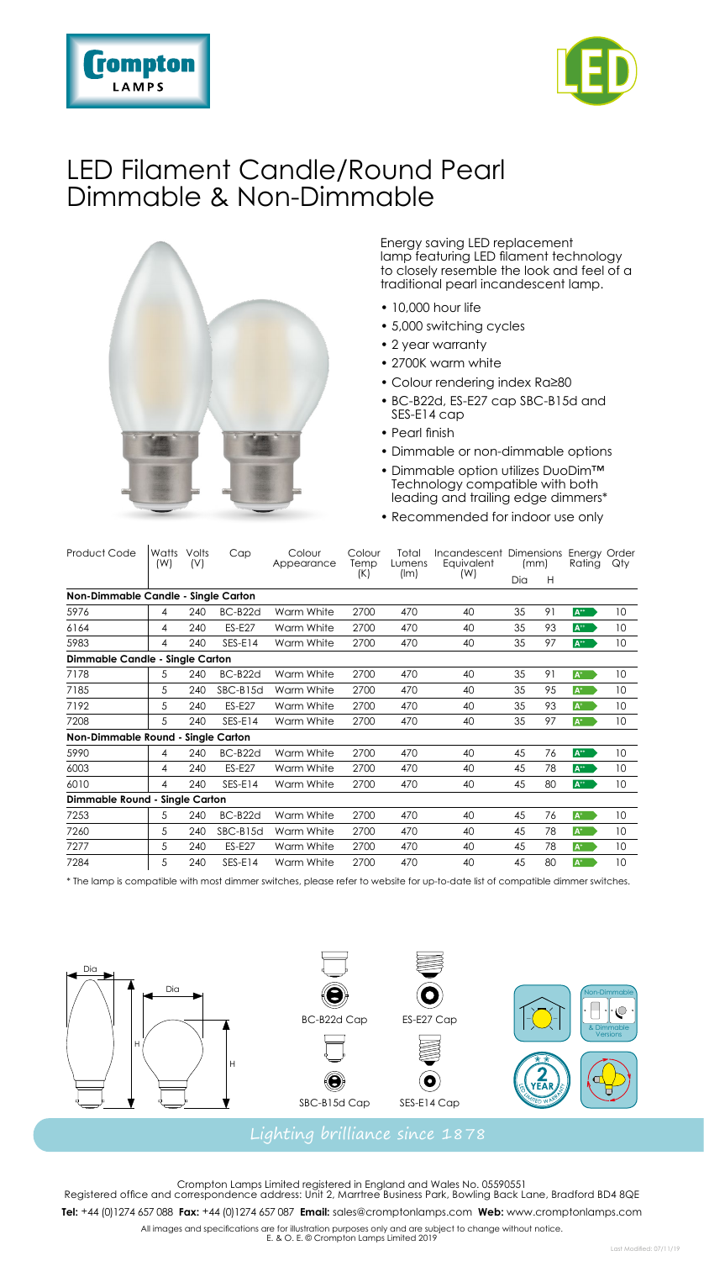



### LED Filament Candle/Round Pearl Dimmable & Non-Dimmable



Energy saving LED replacement lamp featuring LED filament technology to closely resemble the look and feel of a traditional pearl incandescent lamp.

- 10,000 hour life
- 5,000 switching cycles
- 2 year warranty
- 2700K warm white
- Colour rendering index Ra≥80
- BC-B22d, ES-E27 cap SBC-B15d and SES-E14 cap
- Pearl finish
- Dimmable or non-dimmable options
- Dimmable option utilizes DuoDim™ Technology compatible with both leading and trailing edge dimmers\*
- Recommended for indoor use only

| Product Code                        | Watts<br>(W) | Volts<br>(V) | Cap           | Colour<br>Appearance | Colour<br>Temp<br>(K) | Total<br>Lumens<br>(lm) | Incandescent Dimensions<br>Equivalent<br>(W) | (mm) |    | Energy Order<br>Rating | Qty             |
|-------------------------------------|--------------|--------------|---------------|----------------------|-----------------------|-------------------------|----------------------------------------------|------|----|------------------------|-----------------|
|                                     |              |              |               |                      |                       |                         |                                              | Dia  | H  |                        |                 |
| Non-Dimmable Candle - Single Carton |              |              |               |                      |                       |                         |                                              |      |    |                        |                 |
| 5976                                | 4            | 240          | BC-B22d       | Warm White           | 2700                  | 470                     | 40                                           | 35   | 91 | $A^{**}$               | 10 <sup>°</sup> |
| 6164                                | 4            | 240          | <b>ES-E27</b> | Warm White           | 2700                  | 470                     | 40                                           | 35   | 93 | $A^{\leftrightarrow}$  | 10 <sup>°</sup> |
| 5983                                | 4            | 240          | SES-E14       | Warm White           | 2700                  | 470                     | 40                                           | 35   | 97 | $A^{\ast\ast}$         | 10              |
| Dimmable Candle - Single Carton     |              |              |               |                      |                       |                         |                                              |      |    |                        |                 |
| 7178                                | 5            | 240          | BC-B22d       | Warm White           | 2700                  | 470                     | 40                                           | 35   | 91 | $A^+$                  | 10              |
| 7185                                | 5            | 240          | SBC-B15d      | Warm White           | 2700                  | 470                     | 40                                           | 35   | 95 | $A^+$                  | 10              |
| 7192                                | 5            | 240          | <b>ES-E27</b> | Warm White           | 2700                  | 470                     | 40                                           | 35   | 93 | $A^+$                  | 10 <sup>°</sup> |
| 7208                                | 5            | 240          | SES-E14       | Warm White           | 2700                  | 470                     | 40                                           | 35   | 97 | $A^+$                  | 10 <sup>°</sup> |
| Non-Dimmable Round - Single Carton  |              |              |               |                      |                       |                         |                                              |      |    |                        |                 |
| 5990                                | 4            | 240          | BC-B22d       | Warm White           | 2700                  | 470                     | 40                                           | 45   | 76 | $A^{\cdots}$           | 10 <sup>°</sup> |
| 6003                                | 4            | 240          | <b>ES-E27</b> | Warm White           | 2700                  | 470                     | 40                                           | 45   | 78 | $A^{\ast\ast}$         | 10              |
| 6010                                | 4            | 240          | $SES-E14$     | Warm White           | 2700                  | 470                     | 40                                           | 45   | 80 | $A^{\ast\ast}$         | 10 <sup>°</sup> |
| Dimmable Round - Single Carton      |              |              |               |                      |                       |                         |                                              |      |    |                        |                 |
| 7253                                | 5            | 240          | BC-B22d       | Warm White           | 2700                  | 470                     | 40                                           | 45   | 76 | $A^*$                  | 10 <sup>°</sup> |
| 7260                                | 5            | 240          | $SBC-B15d$    | Warm White           | 2700                  | 470                     | 40                                           | 45   | 78 | $A^*$                  | 10              |
| 7277                                | 5            | 240          | <b>ES-E27</b> | Warm White           | 2700                  | 470                     | 40                                           | 45   | 78 | $A^+$                  | 10 <sup>°</sup> |
| 7284                                | 5            | 240          | $SES-E14$     | Warm White           | 2700                  | 470                     | 40                                           | 45   | 80 | $A^*$                  | 10              |

\* The lamp is compatible with most dimmer switches, please refer to website for up-to-date list of compatible dimmer switches.



Crompton Lamps Limited registered in England and Wales No. 05590551 Registered office and correspondence address: Unit 2, Marrtree Business Park, Bowling Back Lane, Bradford BD4 8QE **Tel:** +44 (0)1274 657088 **Fax:** +44 (0)1274 657087 **Email:** sales@cromptonlamps.com **Web:** www.cromptonlamps.com

All images and specifications are for illustration purposes only and are subject to change without notice. E. & O. E. © Crompton Lamps Limited 2019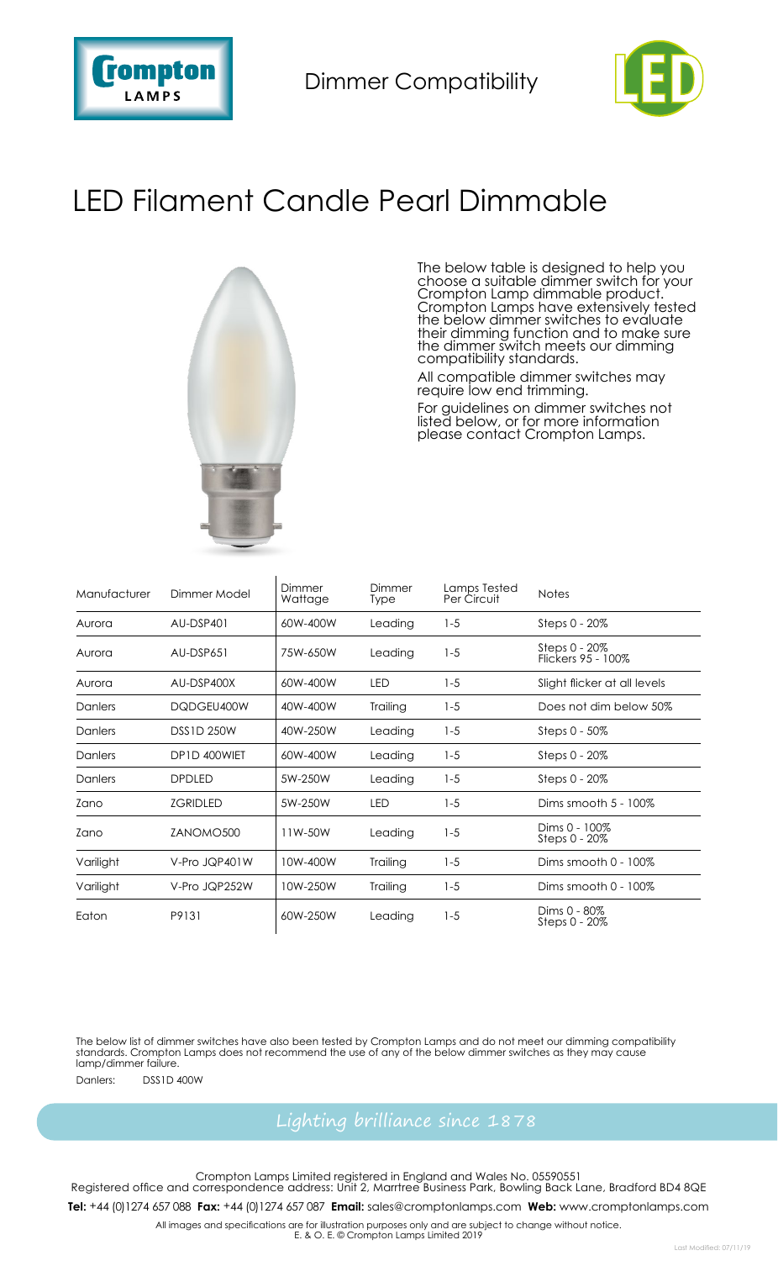

Dimmer Compatibility



# LED Filament Candle Pearl Dimmable



 $\overline{1}$ 

The below table is designed to help you choose a suitable dimmer switch for your Crompton Lamp dimmable product. Crompton Lamps have extensively tested<br>the below dimmer switches to evaluate<br>their dimming function and to make sure<br>the dimmer switch meets our dimming<br>compatibility standards.

All compatible dimmer switches may require low end trimming.

For guidelines on dimmer switches not listed below, or for more information please contact Crompton Lamps.

| Manufacturer | Dimmer Model      | Dimmer<br>Wattage | Dimmer<br>Type | Lamps Tested<br>Per Circuit | <b>Notes</b>                        |
|--------------|-------------------|-------------------|----------------|-----------------------------|-------------------------------------|
| Aurora       | AU-DSP401         | 60W-400W          | Leading        | $1 - 5$                     | Steps 0 - 20%                       |
| Aurora       | AU-DSP651         | 75W-650W          | Leading        | $1 - 5$                     | Steps 0 - 20%<br>Flickers 95 - 100% |
| Aurora       | AU-DSP400X        | 60W-400W          | LED            | $1 - 5$                     | Slight flicker at all levels        |
| Danlers      | DQDGEU400W        | 40W-400W          | Trailing       | $1 - 5$                     | Does not dim below 50%              |
| Danlers      | <b>DSS1D 250W</b> | 40W-250W          | Leading        | $1 - 5$                     | Steps 0 - 50%                       |
| Danlers      | DP1D 400WIET      | 60W-400W          | Leading        | $1 - 5$                     | Steps 0 - 20%                       |
| Danlers      | <b>DPDLED</b>     | 5W-250W           | Leading        | $1 - 5$                     | Steps 0 - 20%                       |
| Zano         | <b>ZGRIDLED</b>   | 5W-250W           | LED            | $1 - 5$                     | Dims smooth 5 - 100%                |
| Zano         | ZANOMO500         | 11W-50W           | Leading        | $1 - 5$                     | Dims 0 - 100%<br>Steps 0 - 20%      |
| Varilight    | V-Pro JQP401W     | 10W-400W          | Trailing       | $1 - 5$                     | Dims smooth 0 - 100%                |
| Varilight    | V-Pro JQP252W     | 10W-250W          | Trailing       | $1 - 5$                     | Dims smooth 0 - 100%                |
| Eaton        | P9131             | 60W-250W          | Leading        | $1 - 5$                     | Dims 0 - 80%<br>Steps 0 - 20%       |

The below list of dimmer switches have also been tested by Crompton Lamps and do not meet our dimming compatibility standards. Crompton Lamps does not recommend the use of any of the below dimmer switches as they may cause lamp/dimmer failure. Danlers: DSS1D 400W

Crompton Lamps Limited registered in England and Wales No. 05590551 Registered office and correspondence address: Unit 2, Marrtree Business Park, Bowling Back Lane, Bradford BD4 8QE

**Tel:** +44 (0)1274 657088 **Fax:** +44 (0)1274 657087 **Email:** sales@cromptonlamps.com **Web:** www.cromptonlamps.com

All images and specifications are for illustration purposes only and are subject to change without notice. E. & O. E. © Crompton Lamps Limited 2019